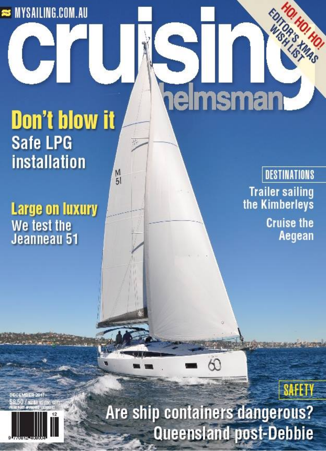### **STANYSAILING.COM.AU**

## **Don't blow it Safe LPG installation**  $M_{51}$

**Large on luxury** We test the<br>Jeanneau 51

# elmsman

**DESTINATIONS Trailer sailing** the Kimberleys **Cruise the** Aegean

EDIT

# **SAFETY** Are ship containers dangerous? **Queensland post-Debbie**

60

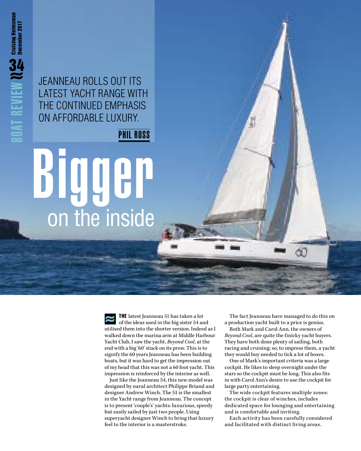JEANNEAU ROLLS OUT ITS LATEST YACHT RANGE WITH THE CONTINUED EMPHASIS ON AFFORDABLE LUXURY.

PHIL ROSS

# Bigger on the inside

THE latest Jeanneau 51 has taken a lot of the ideas used in the big sister 54 and utilised them into the shorter version. Indeed as I walked down the marina arm at Middle Harbour Yacht Club, I saw the yacht, *Beyond Cool*, at the end with a big '60' stuck on its prow. This is to signify the 60 years Jeanneau has been building boats, but it was hard to get the impression out of my head that this was not a 60 foot yacht. This impression is reinforced by the interior as well.

Just like the Jeanneau 54, this new model was designed by naval architect Philippe Briand and designer Andrew Winch. The 51 is the smallest in the Yacht range from Jeanneau. The concept is to present 'couple's' yachts: luxurious, speedy but easily sailed by just two people. Using superyacht designer Winch to bring that luxury feel to the interior is a masterstroke.

The fact Jeanneau have managed to do this on a production yacht built to a price is genius.

Both Mark and Carol Ann, the owners of *Beyond Cool*, are quite the finicky yacht buyers. They have both done plenty of sailing, both racing and cruising; so, to impress them, a yacht they would buy needed to tick a lot of boxes.

One of Mark's important criteria was a large cockpit. He likes to sleep overnight under the stars so the cockpit must be long. This also fits in with Carol Ann's desire to use the cockpit for large party entertaining.

The wide cockpit features multiple zones: the cockpit is clear of winches, includes dedicated space for lounging and entertaining and is comfortable and inviting.

Each activity has been carefully considered and facilitated with distinct living areas.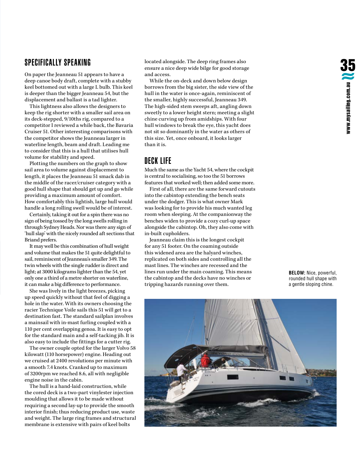#### SPECIFICALLY SPEAKING

On paper the Jeanneau 51 appears to have a deep canoe body draft, complete with a stubby keel bottomed out with a large L bulb. This keel is deeper than the bigger Jeanneau 54, but the displacement and ballast is a tad lighter.

This lightness also allows the designers to keep the rig shorter with a smaller sail area on its deck-stepped, 9/10ths rig, compared to a competitor I reviewed a while back, the Bavaria Cruiser 51. Other interesting comparisons with the competitor shows the Jeanneau larger in waterline length, beam and draft. Leading me to consider that this is a hull that utilises hull volume for stability and speed.

Plotting the numbers on the graph to show sail area to volume against displacement to length, it places the Jeanneau 51 smack dab in the middle of the racer/cruiser category with a good hull shape that should get up and go while providing a maximum amount of comfort. How comfortably this lightish, large hull would handle a long rolling swell would be of interest.

Certainly, taking it out for a spin there was no sign of being tossed by the long swells rolling in through Sydney Heads. Nor was there any sign of 'hull slap' with the nicely rounded aft sections that Briand prefers.

It may well be this combination of hull weight and volume that makes the 51 quite delightful to sail, reminiscent of Jeanneau's smaller 349. The twin wheels with the single rudder is direct and light; at 3000 kilograms lighter than the 54, yet only one a third of a metre shorter on waterline, it can make a big difference to performance.

She was lively in the light breezes, picking up speed quickly without that feel of digging a hole in the water. With its owners choosing the racier Technique Voile sails this 51 will get to a destination fast. The standard sailplan involves a mainsail with in-mast furling coupled with a 110 per cent overlapping genoa. It is easy to opt for the standard main and a self-tacking jib. It is also easy to include the fittings for a cutter rig.

The owner couple opted for the larger Volvo 58 kilowatt (110 horsepower) engine. Heading out we cruised at 2400 revolutions per minute with a smooth 7.4 knots. Cranked up to maximum of 3200rpm we reached 8.6, all with negligible engine noise in the cabin.

The hull is a hand-laid construction, while the cored deck is a two-part vinylester injection moulding that allows it to be made without requiring a second lay-up to provide the smooth interior finish; thus reducing product use, waste and weight. The large ring frames and structural membrane is extensive with pairs of keel bolts

located alongside. The deep ring frames also ensure a nice deep wide bilge for good storage and access.

While the on-deck and down below design borrows from the big sister, the side view of the hull in the water is once-again, reminiscent of the smaller, highly successful, Jeanneau 349. The high-sided stem sweeps aft, angling down sweetly to a lower height stern; meeting a slight chine curving up from amidships. With four hull windows to break the eye, this yacht does not sit so dominantly in the water as others of this size. Yet, once onboard, it looks larger than it is.

#### DECK LIFE

Much the same as the Yacht 54, where the cockpit is central to socialising, so too the 51 borrows features that worked well; then added some more.

First of all, there are the same forward cutouts into the cabintop extending the bench seats under the dodger. This is what owner Mark was looking for to provide his much wanted leg room when sleeping. At the companionway the benches widen to provide a cozy curl-up space alongside the cabintop. Oh, they also come with in-built cupholders.

Jeanneau claim this is the longest cockpit for any 51 footer. On the coaming outside this widened area are the halyard winches, replicated on both sides and controlling all the mast lines. The winches are recessed and the lines run under the main coaming. This means the cabintop and the decks have no winches or tripping hazards running over them.

**BELOW:** Nice, powerful, rounded hull shape with a gentle sloping chine.

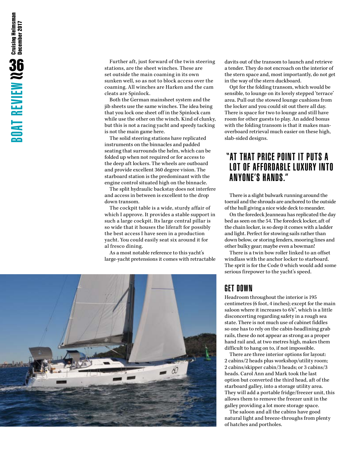Further aft, just forward of the twin steering stations, are the sheet winches. These are set outside the main coaming in its own sunken well, so as not to block access over the coaming. All winches are Harken and the cam cleats are Spinlock.

Both the German mainsheet system and the jib sheets use the same winches. The idea being that you lock one sheet off in the Spinlock cam while use the other on the winch. Kind of clunky, but this is not a racing yacht and speedy tacking is not the main game here.

The solid steering stations have replicated instruments on the binnacles and padded seating that surrounds the helm, which can be folded up when not required or for access to the deep aft lockers. The wheels are outboard and provide excellent 360 degree vision. The starboard station is the predominant with the engine control situated high on the binnacle.

The split hydraulic backstay does not interfere and access in between is excellent to the drop down transom.

The cockpit table is a wide, sturdy affair of which I approve. It provides a stable support in such a large cockpit. Its large central pillar is so wide that it houses the liferaft for possibly the best access I have seen in a production yacht. You could easily seat six around it for al fresco dining.

As a most notable reference to this yacht's large-yacht pretensions it comes with retractable



davits out of the transom to launch and retrieve a tender. They do not encroach on the interior of the stern space and, most importantly, do not get in the way of the stern duckboard.

Opt for the folding transom, which would be sensible, to lounge on its lovely stepped 'terrace' area. Pull out the stowed lounge cushions from the locker and you could sit out there all day. There is space for two to lounge and still have room for other guests to play. An added bonus with the folding transom is that it makes manoverboard retrieval much easier on these high, slab-sided designs.

#### "AT THAT PRICE POINT IT PUTS A LOT OF AFFORDABLE LUXURY INTO ANYONE'S HANDS."

There is a slight bulwark running around the toerail and the shrouds are anchored to the outside of the hull giving a nice wide deck to meander.

On the foredeck Jeanneau has replicated the day bed as seen on the 54. The foredeck locker, aft of the chain locker, is so deep it comes with a ladder and light. Perfect for stowing sails rather than down below, or storing fenders, mooring lines and other bulky gear; maybe even a bowman!

There is a twin bow roller linked to an offset windlass with the anchor locker to starboard. The sprit is for the Code 0 which would add some serious firepower to the yacht's speed.

#### GET DOWN

Headroom throughout the interior is 195 centimetres (6 foot, 4 inches); except for the main saloon where it increases to 6'6", which is a little disconcerting regarding safety in a rough sea state. There is not much use of cabinet fiddles so one has to rely on the cabin-headlining grab rails, these do not appear as strong as a proper hand rail and, at two metres high, makes them difficult to hang on to, if not impossible.

There are three interior options for layout: 2 cabins/2 heads plus workshop/utility room; 2 cabins/skipper cabin/3 heads; or 3 cabins/3 heads. Carol Ann and Mark took the last option but converted the third head, aft of the starboard galley, into a storage utility area. They will add a portable fridge/freezer unit, this allows them to remove the freezer unit in the galley providing a lot more storage space.

The saloon and all the cabins have good natural light and breeze-throughs from plenty of hatches and portholes.